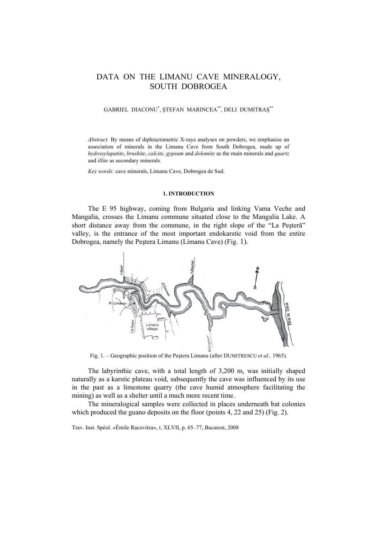# DATA ON THE LIMANU CAVE MINERALOGY, SOUTH DOBROGEA

# GABRIEL DIACONU\* , ŞTEFAN MARINCEA\*\*, DELI DUMITRAŞ\*\*

*Abstract.* By means of diphractometric X-rays analyses on powders, we emphasize an association of minerals in the Limanu Cave from South Dobrogea, made up of *hydroxylapatite*, *brushite*, *calcite, gypsum* and *dolomite* as the main minerals and *quartz* and *illite* as secondary minerals.

*Key words:* cave minerals, Limanu Cave, Dobrogea de Sud.

### **1. INTRODUCTION**

The E 95 highway, coming from Bulgaria and linking Vama Veche and Mangalia, crosses the Limanu commune situated close to the Mangalia Lake. A short distance away from the commune, in the right slope of the "La Peşteră" valley, is the entrance of the most important endokarstic void from the entire Dobrogea, namely the Peştera Limanu (Limanu Cave) (Fig. 1).



Fig. 1. – Geographic position of the Peştera Limanu (after DUMITRESCU *et al.,* 1965).

The labyrinthic cave, with a total length of 3,200 m, was initially shaped naturally as a karstic plateau void, subsequently the cave was influenced by its use in the past as a limestone quarry (the cave humid atmosphere facilitating the mining) as well as a shelter until a much more recent time.

The mineralogical samples were collected in places underneath bat colonies which produced the guano deposits on the floor (points 4, 22 and 25) (Fig. 2).

Trav. Inst. Spéol. «Émile Racovitza», t. XLVII, p. 65–77, Bucarest, 2008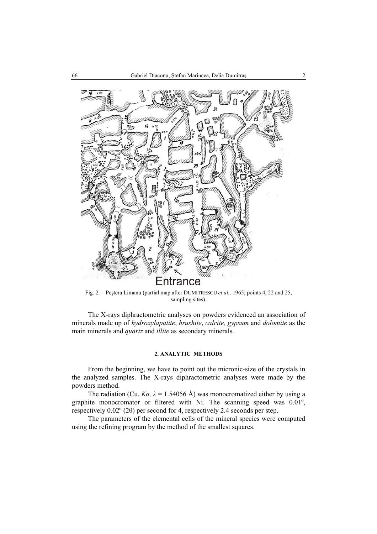

Fig. 2. – Peştera Limanu (partial map after DUMITRESCU *et al.,* 1965; points 4, 22 and 25, sampling sites).

The X-rays diphractometric analyses on powders evidenced an association of minerals made up of *hydroxylapatite*, *brushite*, *calcite, gypsum* and *dolomite* as the main minerals and *quartz* and *illite* as secondary minerals.

# **2. ANALYTIC METHODS**

From the beginning, we have to point out the micronic-size of the crystals in the analyzed samples. The X-rays diphractometric analyses were made by the powders method.

The radiation (Cu,  $Ka$ ,  $\lambda = 1.54056$  Å) was monocromatized either by using a graphite monocromator or filtered with Ni. The scanning speed was 0.01º, respectively 0.02º (2θ) per second for 4, respectively 2.4 seconds per step.

The parameters of the elemental cells of the mineral species were computed using the refining program by the method of the smallest squares.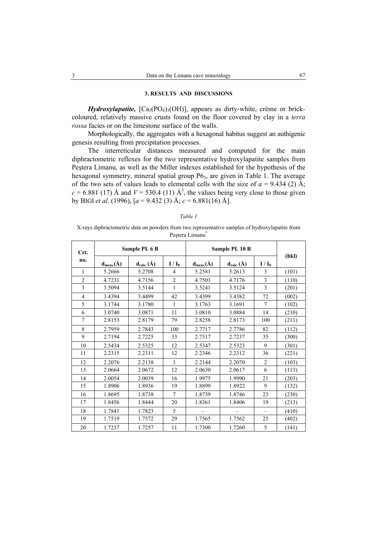# **3. RESULTS AND DISCUSSIONS**

*Hydroxylapatite,*  $[Ca_5(PO_4)_3(OH)]$ , appears as dirty-white, crème or brickcoloured, relatively massive crusts found on the floor covered by clay in a *terra rossa* facies or on the limestone surface of the walls.

Morphologically, the aggregates with a hexagonal habitus suggest an authigenic genesis resulting from precipitation processes.

The interreticular distances measured and computed for the main diphractometric reflexes for the two representative hydroxylapatite samples from Peştera Limanu, as well as the Miller indexes established for the hypothesis of the hexagonal symmetry, mineral spatial group P6<sub>3</sub>, are given in Table 1. The average of the two sets of values leads to elemental cells with the size of  $a = 9.434$  (2)  $\AA$ ;  $c = 6.881$  (17) Å and  $V = 530.4$  (11) Å<sup>3</sup>, the values being very close to those given by BIGI *et al*. (1996), [*a* = 9.432 (3) Å; *c* = 6.881(16) Å].

X-rays diphractometric data on powders from two representative samples of hydroxylapatite from Pestera Limanu\*

| Crt.           |                  | Sample PL 6 B    |                |                  | Sample PL 10 B   |                  | (hkl) |
|----------------|------------------|------------------|----------------|------------------|------------------|------------------|-------|
| no.            | $d_{meas.}(\AA)$ | $d_{calc.}(\AA)$ | $I/I_0$        | $d_{meas.}(\AA)$ | $d_{calc.}(\AA)$ | $I/I_0$          |       |
| $\mathbf{1}$   | 5.2666           | 5.2708           | $\overline{4}$ | 5.2581           | 5.2613           | 3                | (101) |
| $\overline{c}$ | 4.7231           | 4.7156           | $\overline{c}$ | 4.7503           | 4.7176           | $\mathfrak{Z}$   | (110) |
| 3              | 3.5094           | 3.5144           | 1              | 3.5241           | 3.5124           | $\overline{3}$   | (201) |
| 4              | 3.4394           | 3.4499           | 42             | 3.4399           | 3.4382           | 72               | (002) |
| 5              | 3.1744           | 3.1780           | 1              | 3.1763           | 3.1691           | $\overline{7}$   | (102) |
| 6              | 3.0740           | 3.0871           | 11             | 3.0810           | 3.0884           | 14               | (210) |
| 7              | 2.8153           | 2.8179           | 79             | 2.8258           | 2.8173           | 100              | (211) |
| 8              | 2.7959           | 2.7843           | 100            | 2.7717           | 2.7786           | 82               | (112) |
| 9              | 2.7194           | 2.7225           | 33             | 2.7317           | 2.7237           | 35               | (300) |
| 10             | 2.5434           | 2.5325           | 12             | 2.5347           | 2.5323           | 9                | (301) |
| 11             | 2.2315           | 2.2311           | 12             | 2.2346           | 2.2312           | 36               | (221) |
| 12             | 2.2076           | 2.2138           | 1              | 2.2144           | 2.2070           | $\boldsymbol{2}$ | (103) |
| 13             | 2.0664           | 2.0672           | 12             | 2.0630           | 2.0617           | 6                | (113) |
| 14             | 2.0054           | 2.0039           | 16             | 1.9975           | 1.9990           | 21               | (203) |
| 15             | 1.8906           | 1.8936           | 19             | 1.8899           | 1.8922           | 9                | (132) |
| 16             | 1.8695           | 1.8738           | $\overline{7}$ | 1.8739           | 1.8746           | 23               | (230) |
| 17             | 1.8456           | 1.8444           | 20             | 1.8361           | 1.8406           | 19               | (213) |
| 18             | 1.7841           | 1.7823           | 5              |                  |                  |                  | (410) |
| 19             | 1.7519           | 1.7572           | 29             | 1.7565           | 1.7562           | 25               | (402) |
| 20             | 1.7237           | 1.7257           | 11             | 1.7300           | 1.7260           | 5                | (141) |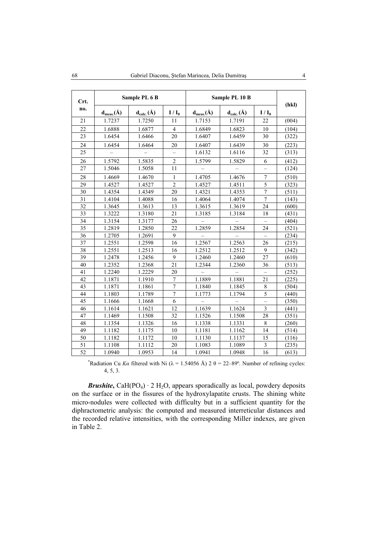| Crt. |                  | Sample PL 6 B    |                          |                  | Sample PL 10 B                                |                          | (hkl) |
|------|------------------|------------------|--------------------------|------------------|-----------------------------------------------|--------------------------|-------|
| no.  | $d_{meas.}(\AA)$ | $d_{calc.}(\AA)$ | $I/I_0$                  | $d_{meas.}(\AA)$ | $\mathbf{d}_{\text{calc.}}(\hat{\mathbf{A}})$ | $I/I_0$                  |       |
| 21   | 1.7237           | 1.7250           | 11                       | 1.7153           | 1.7191                                        | 22                       | (004) |
| 22   | 1.6888           | 1.6877           | $\overline{4}$           | 1.6849           | 1.6823                                        | 10                       | (104) |
| 23   | 1.6454           | 1.6466           | 20                       | 1.6407           | 1.6459                                        | 30                       | (322) |
| 24   | 1.6454           | 1.6464           | 20                       | 1.6407           | 1.6439                                        | 30                       | (223) |
| 25   |                  |                  | $\overline{\phantom{0}}$ | 1.6132           | 1.6116                                        | 32                       | (313) |
| 26   | 1.5792           | 1.5835           | $\overline{2}$           | 1.5799           | 1.5829                                        | 6                        | (412) |
| 27   | 1.5046           | 1.5058           | 11                       |                  |                                               | $\overline{a}$           | (124) |
| 28   | 1.4669           | 1.4670           | $\mathbf{1}$             | 1.4705           | 1.4676                                        | $\overline{7}$           | (510) |
| 29   | 1.4527           | 1.4527           | $\overline{2}$           | 1.4527           | 1.4511                                        | $\overline{5}$           | (323) |
| 30   | 1.4354           | 1.4349           | 20                       | 1.4321           | 1.4353                                        | $\overline{7}$           | (511) |
| 31   | 1.4104           | 1.4088           | 16                       | 1.4064           | 1.4074                                        | $\overline{7}$           | (143) |
| 32   | 1.3645           | 1.3613           | 13                       | 1.3615           | 1.3619                                        | 24                       | (600) |
| 33   | 1.3222           | 1.3180           | 21                       | 1.3185           | 1.3184                                        | 18                       | (431) |
| 34   | 1.3154           | 1.3177           | 26                       |                  |                                               |                          | (404) |
| 35   | 1.2819           | 1.2850           | 22.                      | 1.2859           | 1.2854                                        | 24                       | (521) |
| 36   | 1.2705           | 1.2691           | 9                        |                  |                                               |                          | (234) |
| 37   | 1.2551           | 1.2598           | 16                       | 1.2567           | 1.2563                                        | 26                       | (215) |
| 38   | 1.2551           | 1.2513           | 16                       | 1.2512           | 1.2512                                        | 9                        | (342) |
| 39   | 1.2478           | 1.2456           | 9                        | 1.2460           | 1.2460                                        | 27                       | (610) |
| 40   | 1.2352           | 1.2368           | 21                       | 1.2344           | 1.2360                                        | 36                       | (513) |
| 41   | 1.2240           | 1.2229           | 20                       |                  |                                               |                          | (252) |
| 42   | 1.1871           | 1.1910           | $\overline{7}$           | 1.1889           | 1.1881                                        | 21                       | (225) |
| 43   | 1.1871           | 1.1861           | $\overline{7}$           | 1.1840           | 1.1845                                        | 8                        | (504) |
| 44   | 1.1803           | 1.1789           | $\overline{7}$           | 1.1773           | 1.1794                                        | $\overline{\mathbf{5}}$  | (440) |
| 45   | 1.1666           | 1.1668           | 6                        |                  |                                               | $\overline{\phantom{0}}$ | (350) |
| 46   | 1.1614           | 1.1621           | 12                       | 1.1639           | 1.1624                                        | $\overline{\mathbf{3}}$  | (441) |
| 47   | 1.1469           | 1.1508           | 32                       | 1.1526           | 1.1508                                        | 28                       | (351) |
| 48   | 1.1354           | 1.1326           | 16                       | 1.1338           | 1.1331                                        | 8                        | (260) |
| 49   | 1.1182           | 1.1175           | 10                       | 1.1181           | 1.1162                                        | 14                       | (514) |
| 50   | 1.1182           | 1.1172           | 10                       | 1.1130           | 1.1137                                        | 15                       | (116) |
| 51   | 1.1108           | 1.1112           | 20                       | 1.1083           | 1.1089                                        | $\mathfrak{Z}$           | (235) |
| 52   | 1.0940           | 1.0953           | 14                       | 1.0941           | 1.0948                                        | 16                       | (613) |

<sup>\*</sup>Radiation Cu *Ka* filtered with Ni ( $\lambda$  = 1.54056 Å) 2  $\theta$  = 22–89°. Number of refining cycles: 4, 5, 3.

*Brushite*,  $CaH(PO_4) \cdot 2 H_2O$ , appears sporadically as local, powdery deposits on the surface or in the fissures of the hydroxylapatite crusts. The shining white micro-nodules were collected with difficulty but in a sufficient quantity for the diphractometric analysis: the computed and measured interreticular distances and the recorded relative intensities, with the corresponding Miller indexes, are given in Table 2.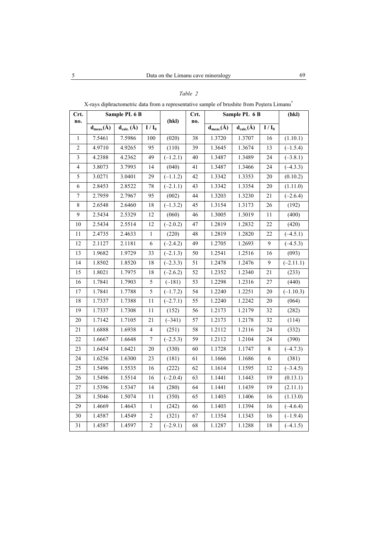| Crt.<br>no.    |                  | Sample PL 6 B    |                  | (hkl)      | Crt.            |                  | Sample PL 6 B    |              | (hkl)                  |
|----------------|------------------|------------------|------------------|------------|-----------------|------------------|------------------|--------------|------------------------|
|                | $d_{meas.}(\AA)$ | $d_{calc.}(\AA)$ | $I / I_0$        |            | no.             | $d_{meas.}(\AA)$ | $d_{calc.}(\AA)$ | $I/I_0$      |                        |
| $\mathbf{1}$   | 7.5461           | 7.5986           | 100              | (020)      | 38              | 1.3720           | 1.3707           | 16           | (1.10.1)               |
| $\overline{2}$ | 4.9710           | 4.9265           | 95               | (110)      | 39              | 1.3645           | 1.3674           | 13           | $(-1.5.4)$             |
| $\overline{3}$ | 4.2388           | 4.2362           | 49               | $(-1.2.1)$ | 40              | 1.3487           | 1.3489           | 24           | $(-3.8.1)$             |
| $\overline{4}$ | 3.8073           | 3.7993           | 14               | (040)      | 41              | 1.3487           | 1.3466           | 24           | $(-4.3.3)$             |
| 5              | 3.0271           | 3.0401           | 29               | $(-1.1.2)$ | 42              | 1.3342           | 1.3353           | 20           | (0.10.2)               |
| 6              | 2.8453           | 2.8522           | 78               | $(-2.1.1)$ | 43              | 1.3342           | 1.3354           | $20\,$       | (1.11.0)               |
| $\overline{7}$ | 2.7959           | 2.7967           | 95               | (002)      | 44              | 1.3203           | 1.3230           | 21           | $(-2.6.4)$             |
| $\,8\,$        | 2.6548           | 2.6460           | 18               | $(-1.3.2)$ | 45              | 1.3154           | 1.3173           | 26           | (192)                  |
| 9              | 2.5434           | 2.5329           | 12               | (060)      | 46              | 1.3005           | 1.3019           | 11           | (400)                  |
| 10             | 2.5434           | 2.5514           | 12               | $(-2.0.2)$ | 47              | 1.2819           | 1.2832           | 22           | (420)                  |
| 11             | 2.4735           | 2.4633           | $\mathbf{1}$     | (220)      | 48              | 1.2819           | 1.2820           | 22           | $(-4.5.1)$             |
| 12             | 2.1127           | 2.1181           | 6                | $(-2.4.2)$ | 49              | 1.2705           | 1.2693           | $\mathbf{9}$ | $(-4.5.3)$             |
| 13             | 1.9682           | 1.9729           | 33               | $(-2.1.3)$ | 50              | 1.2541           | 1.2516           | 16           | (093)                  |
| 14             | 1.8502           | 1.8520           | 18               | $(-2.3.3)$ | 51              | 1.2478           | 1.2476           | 9            | $\overline{(-2.11.1)}$ |
| 15             | 1.8021           | 1.7975           | 18               | $(-2.6.2)$ | $\overline{52}$ | 1.2352           | 1.2340           | 21           | (233)                  |
| 16             | 1.7841           | 1.7903           | 5                | $(-181)$   | 53              | 1.2298           | 1.2316           | 27           | (440)                  |
| 17             | 1.7841           | 1.7788           | 5                | $(-1.7.2)$ | 54              | 1.2240           | 1.2251           | $20\,$       | $(-1.10.3)$            |
| 18             | 1.7337           | 1.7388           | 11               | $(-2.7.1)$ | 55              | 1.2240           | 1.2242           | 20           | (064)                  |
| 19             | 1.7337           | 1.7308           | 11               | (152)      | 56              | 1.2173           | 1.2179           | 32           | (282)                  |
| $20\,$         | 1.7142           | 1.7105           | 21               | $(-341)$   | 57              | 1.2173           | 1.2178           | 32           | (114)                  |
| 21             | 1.6888           | 1.6938           | $\overline{4}$   | (251)      | 58              | 1.2112           | 1.2116           | 24           | (332)                  |
| 22             | 1.6667           | 1.6648           | $\boldsymbol{7}$ | $(-2.5.3)$ | 59              | 1.2112           | 1.2104           | 24           | (390)                  |
| 23             | 1.6454           | 1.6421           | 20               | (330)      | 60              | 1.1728           | 1.1747           | 8            | $(-4.7.3)$             |
| 24             | 1.6256           | 1.6300           | 23               | (181)      | 61              | 1.1666           | 1.1686           | 6            | (381)                  |
| 25             | 1.5496           | 1.5535           | 16               | (222)      | 62              | 1.1614           | 1.1595           | 12           | $(-3.4.5)$             |
| 26             | 1.5496           | 1.5514           | 16               | $(-2.0.4)$ | 63              | 1.1441           | 1.1443           | 19           | (0.13.1)               |
| 27             | 1.5396           | 1.5347           | 14               | (280)      | 64              | 1.1441           | 1.1439           | 19           | (2.11.1)               |
| 28             | 1.5046           | 1.5074           | $1\,1$           | (350)      | 65              | 1.1403           | 1.1406           | 16           | (1.13.0)               |
| 29             | 1.4669           | 1.4643           | $\mathbf{1}$     | (242)      | 66              | 1.1403           | 1.1394           | 16           | $(-4.6.4)$             |
| $30\,$         | 1.4587           | 1.4549           | $\sqrt{2}$       | (321)      | 67              | 1.1354           | 1.1343           | 16           | $(-1.9.4)$             |
| 31             | 1.4587           | 1.4597           | $\overline{2}$   | $(-2.9.1)$ | 68              | 1.1287           | 1.1288           | 18           | $(-4.1.5)$             |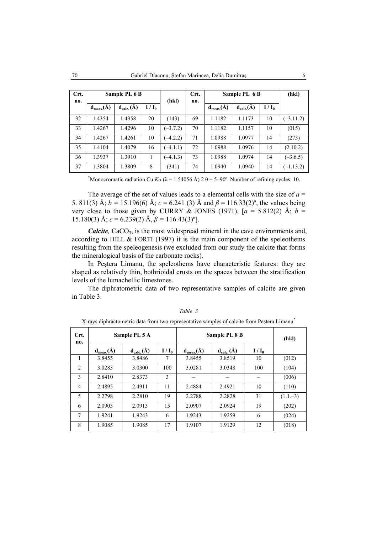| Crt.<br>no. | Sample PL 6 B  |                  | (hkl)   |            |    |                | Crt.<br>no.            | Sample PL 6 B |             | (hkl) |
|-------------|----------------|------------------|---------|------------|----|----------------|------------------------|---------------|-------------|-------|
|             | $d_{meas.}(A)$ | $d_{calc.}(\AA)$ | $I/I_0$ |            |    | $d_{meas.}(A)$ | $d_{calc.}(\check{A})$ | $I/I_0$       |             |       |
| 32          | 1.4354         | 1.4358           | 20      | (143)      | 69 | 1.1182         | 1.1173                 | 10            | $(-3.11.2)$ |       |
| 33          | 1.4267         | 1.4296           | 10      | $(-3.7.2)$ | 70 | 1.1182         | 1.1157                 | 10            | (015)       |       |
| 34          | 1.4267         | 1.4261           | 10      | $(-4.2.2)$ | 71 | 1.0988         | 1.0977                 | 14            | (273)       |       |
| 35          | 1.4104         | 1.4079           | 16      | $(-4.1.1)$ | 72 | 1.0988         | 1.0976                 | 14            | (2.10.2)    |       |
| 36          | 1.3937         | 1.3910           |         | $(-4.1.3)$ | 73 | 1.0988         | 1.0974                 | 14            | $(-3.6.5)$  |       |
| 37          | 1.3804         | 1.3809           | 8       | (341)      | 74 | 1.0940         | 1.0940                 | 14            | $(-1.13.2)$ |       |

<sup>\*</sup>Monocromatic radiation Cu  $K\alpha$  ( $\lambda$  = 1.54056 Å) 2  $\theta$  = 5–90°. Number of refining cycles: 10.

The average of the set of values leads to a elemental cells with the size of *a* = 5. 811(3) Å;  $b = 15.196(6)$  Å;  $c = 6.241$  (3) Å and  $\beta = 116.33(2)$ °, the values being very close to those given by CURRY & JONES (1971),  $[a = 5.812(2)$  Å;  $b =$ 15.180(3) Å;  $c = 6.239(2)$  Å,  $\beta = 116.43(3)^{\circ}$ .

*Calcite*, CaCO<sub>3</sub>, is the most widespread mineral in the cave environments and, according to HILL  $&$  FORTI (1997) it is the main component of the speleothems resulting from the speleogenesis (we excluded from our study the calcite that forms the mineralogical basis of the carbonate rocks).

In Peştera Limanu, the speleothems have characteristic features: they are shaped as relatively thin, bothrioidal crusts on the spaces between the stratification levels of the lumachellic limestones.

The diphratometric data of two representative samples of calcite are given in Table 3.

| Crt.<br>no.    |                 | Sample PL 5 A    |         | Sample PL 8 B    | (hkl)            |         |            |
|----------------|-----------------|------------------|---------|------------------|------------------|---------|------------|
|                | $d_{meas}(\AA)$ | $d_{calc.}(\AA)$ | $I/I_0$ | $d_{meas.}(\AA)$ | $d_{calc.}(\AA)$ | $I/I_0$ |            |
| 1              | 3.8455          | 3.8486           | 7       | 3.8455           | 3.8519           | 10      | (012)      |
| 2              | 3.0283          | 3.0300           | 100     | 3.0281           | 3.0348           | 100     | (104)      |
| 3              | 2.8410          | 2.8373           | 3       |                  |                  |         | (006)      |
| $\overline{4}$ | 2.4895          | 2.4911           | 11      | 2.4884           | 2.4921           | 10      | (110)      |
| 5              | 2.2798          | 2.2810           | 19      | 2.2788           | 2.2828           | 31      | $(1.1,-3)$ |
| 6              | 2.0903          | 2.0913           | 15      | 2.0907           | 2.0924           | 19      | (202)      |
| 7              | 1.9241          | 1.9243           | 6       | 1.9243           | 1.9259           | 6       | (024)      |
| 8              | 1.9085          | 1.9085           | 17      | 1.9107           | 1.9129           | 12      | (018)      |

*Table 3* 

X-rays diphractometric data from two representative samples of calcite from Peştera Limanu\*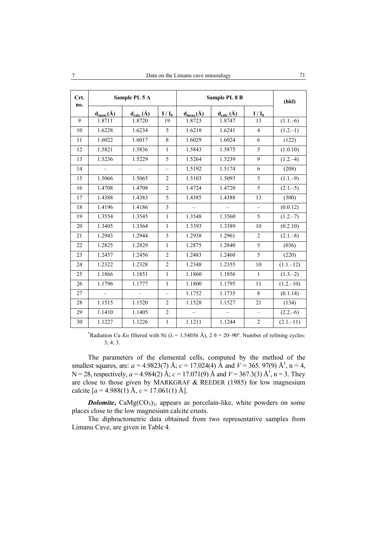| Crt. |                  | Sample PL 5 A                                 |                          |                          | Sample PL 8 B                           |                          | (hkl)        |
|------|------------------|-----------------------------------------------|--------------------------|--------------------------|-----------------------------------------|--------------------------|--------------|
| no.  | $d_{meas.}(\AA)$ | $\mathbf{d}_{\text{calc.}}(\hat{\mathbf{A}})$ | $I/I_0$                  | $d_{meas.}(\AA)$         | $\mathbf{d}_{\text{calc.}}(\mathbf{A})$ | $I/I_0$                  |              |
| 9    | 1.8711           | 1.8720                                        | 19                       | 1.8723                   | 1.8747                                  | 13                       | $(1.1 - 6)$  |
| 10   | 1.6228           | 1.6234                                        | 5                        | 1.6218                   | 1.6241                                  | $\overline{\mathbf{4}}$  | $(1.2,-1)$   |
| 11   | 1.6022           | 1.6017                                        | 8                        | 1.6029                   | 1.6024                                  | 6                        | (122)        |
| 12   | 1.5821           | 1.5836                                        | 1                        | 1.5843                   | 1.5875                                  | $\sqrt{5}$               | (1.0.10)     |
| 13   | 1.5236           | 1.5229                                        | 5                        | 1.5264                   | 1.5239                                  | 9                        | $(1.2,-4)$   |
| 14   |                  |                                               | -                        | 1.5192                   | 1.5174                                  | $\epsilon$               | (208)        |
| 15   | 1.5066           | 1.5065                                        | $\overline{2}$           | 1.5103                   | 1.5093                                  | 5                        | $(1.1,-9)$   |
| 16   | 1.4708           | 1.4708                                        | $\overline{2}$           | 1.4724                   | 1.4720                                  | 5                        | $(2.1 - 5)$  |
| 17   | 1.4388           | 1.4383                                        | 5                        | 1.4385                   | 1.4388                                  | 13                       | (300)        |
| 18   | 1.4196           | 1.4186                                        | $\overline{3}$           |                          |                                         | $\overline{\phantom{0}}$ | (0.0.12)     |
| 19   | 1.3554           | 1.3545                                        | $\mathbf{1}$             | 1.3548                   | 1.3560                                  | 5                        | $(1.2,-7)$   |
| 20   | 1.3405           | 1.3364                                        | $\mathbf{1}$             | 1.3393                   | 1.3389                                  | 10                       | (0.2.10)     |
| 21   | 1.2943           | 1.2944                                        | $\mathfrak{Z}$           | 1.2938                   | 1.2961                                  | $\overline{c}$           | $(2.1 - 8)$  |
| 22   | 1.2825           | 1.2829                                        | $\mathbf{1}$             | 1.2875                   | 1.2840                                  | 5                        | (036)        |
| 23   | 1.2457           | 1.2456                                        | $\overline{2}$           | 1.2483                   | 1.2460                                  | 5                        | (220)        |
| 24   | 1.2322           | 1.2328                                        | $\overline{2}$           | 1.2348                   | 1.2355                                  | 10                       | $(1.1 - 12)$ |
| 25   | 1.1866           | 1.1851                                        | $\mathbf{1}$             | 1.1860                   | 1.1856                                  | $\mathbf{1}$             | $(1.3-2)$    |
| 26   | 1.1796           | 1.1777                                        | $\mathbf{1}$             | 1.1800                   | 1.1795                                  | 11                       | $(1.2 - 10)$ |
| 27   | $\equiv$         |                                               | $\overline{\phantom{0}}$ | 1.1752                   | 1.1735                                  | $\,8\,$                  | (0.1.14)     |
| 28   | 1.1515           | 1.1520                                        | $\overline{2}$           | 1.1528                   | 1.1527                                  | 21                       | (134)        |
| 29   | 1.1410           | 1.1405                                        | $\overline{2}$           | $\overline{\phantom{0}}$ |                                         | $\qquad \qquad -$        | $(2.2,-6)$   |
| 30   | 1.1227           | 1.1226                                        | $\,1\,$                  | 1.1211                   | 1.1244                                  | $\sqrt{2}$               | $(2.1 - 11)$ |

<sup>\*</sup>Radiation Cu *Ka* filtered with Ni ( $\lambda = 1.54056$  Å),  $2 \theta = 20-90^\circ$ . Number of refining cycles: 3; 4; 3.

The parameters of the elemental cells, computed by the method of the smallest squares, are:  $a = 4.9823(7)$  Å;  $c = 17.024(4)$  Å and  $V = 365.97(9)$  Å<sup>3</sup>, n = 4, N = 28, respectively,  $a = 4.984(2)$  Å;  $c = 17.071(9)$  Å and  $V = 367.3(3)$  Å<sup>3</sup>, n = 3. They are close to those given by MARKGRAF & REEDER (1985) for low magnesium calcite  $[a = 4.988(1)$  Å,  $c = 17.061(1)$  Å].

*Dolomite*,  $\text{CaMg(CO}_3)_2$ , appears as porcelain-like, white powders on some places close to the low magnesium calcite crusts.

The diphractometric data obtained from two representative samples from Limanu Cave, are given in Table 4.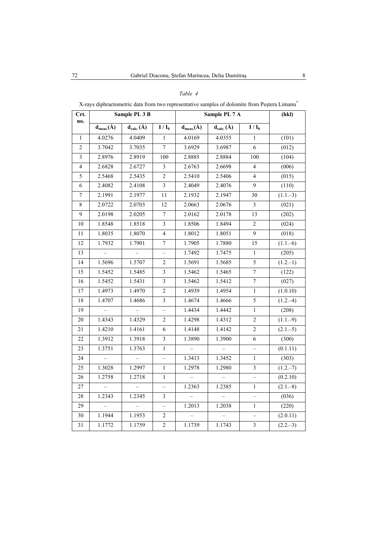| X-rays diphractometric data from two representative samples of dolomite from Peștera Limanu* |  |  |
|----------------------------------------------------------------------------------------------|--|--|
|                                                                                              |  |  |

| Crt.           |                   | Sample PL 3 B     |                          |                  | Sample PL 7 A    |                          | (hkl)       |
|----------------|-------------------|-------------------|--------------------------|------------------|------------------|--------------------------|-------------|
| no.            | $d_{meas.}(\AA)$  | $d_{calc.}(\AA)$  | $I/I_0$                  | $d_{meas.}(\AA)$ | $d_{calc.}(\AA)$ | $I/I_0$                  |             |
| $\mathbf{1}$   | 4.0276            | 4.0409            | 1                        | 4.0169           | 4.0355           | 1                        | (101)       |
| $\overline{c}$ | 3.7042            | 3.7035            | $\overline{7}$           | 3.6929           | 3.6987           | $\sqrt{6}$               | (012)       |
| 3              | 2.8976            | 2.8919            | 100                      | 2.8885           | 2.8884           | 100                      | (104)       |
| $\overline{4}$ | 2.6828            | 2.6727            | 3                        | 2.6763           | 2.6698           | $\overline{4}$           | (006)       |
| 5              | 2.5468            | 2.5435            | $\sqrt{2}$               | 2.5410           | 2.5406           | 4                        | (015)       |
| 6              | 2.4082            | 2.4108            | $\overline{\mathbf{3}}$  | 2.4049           | 2.4076           | 9                        | (110)       |
| $\overline{7}$ | 2.1991            | 2.1977            | 11                       | 2.1932           | 2.1947           | 30                       | $(1.1-3)$   |
| 8              | 2.0722            | 2.0703            | 12                       | 2.0663           | 2.0676           | $\mathfrak{Z}$           | (021)       |
| 9              | 2.0198            | 2.0205            | $\boldsymbol{7}$         | 2.0162           | 2.0178           | 13                       | (202)       |
| $10\,$         | 1.8548            | 1.8518            | $\overline{\mathbf{3}}$  | 1.8506           | 1.8494           | $\mathbf 2$              | (024)       |
| 11             | 1.8035            | 1.8070            | $\overline{4}$           | 1.8012           | 1.8051           | 9                        | (018)       |
| 12             | 1.7932            | 1.7901            | $\overline{7}$           | 1.7905           | 1.7880           | 15                       | $(1.1 - 6)$ |
| 13             | $\qquad \qquad -$ | $\qquad \qquad -$ | $\overline{\phantom{0}}$ | 1.7492           | 1.7475           | $\mathbf{1}$             | (205)       |
| 14             | 1.5696            | 1.5707            | 2                        | 1.5691           | 1.5685           | 5                        | $(1.2,-1)$  |
| 15             | 1.5452            | 1.5485            | $\mathfrak{Z}$           | 1.5462           | 1.5465           | 7                        | (122)       |
| 16             | 1.5452            | 1.5431            | $\overline{\mathbf{3}}$  | 1.5462           | 1.5412           | $\sqrt{ }$               | (027)       |
| 17             | 1.4973            | 1.4970            | $\overline{c}$           | 1.4939           | 1.4954           | $\mathbf{1}$             | (1.0.10)    |
| 18             | 1.4707            | 1.4686            | $\overline{\mathbf{3}}$  | 1.4674           | 1.4666           | 5                        | $(1.2,-4)$  |
| 19             | $\equiv$          | $\equiv$          | $\overline{a}$           | 1.4434           | 1.4442           | $\mathbf{1}$             | (208)       |
| 20             | 1.4343            | 1.4329            | $\overline{2}$           | 1.4298           | 1.4312           | $\overline{c}$           | $(1.1-9)$   |
| 21             | 1.4210            | 1.4161            | $\sqrt{6}$               | 1.4148           | 1.4142           | $\sqrt{2}$               | $(2.1 - 5)$ |
| 22             | 1.3912            | 1.3918            | 3                        | 1.3890           | 1.3900           | $\sqrt{6}$               | (300)       |
| 23             | 1.3751            | 1.3763            | $\,1$                    | $\equiv$         | $\equiv$         | $\overline{\phantom{0}}$ | (0.1.11)    |
| 24             |                   |                   |                          | 1.3413           | 1.3452           | $\mathbf{1}$             | (303)       |
| 25             | 1.3028            | 1.2997            | $\,1$                    | 1.2978           | 1.2980           | $\mathfrak{Z}$           | $(1.2,-7)$  |
| 26             | 1.2758            | 1.2718            | $\mathbf{1}$             |                  |                  | $\overline{\phantom{0}}$ | (0.2.10)    |
| 27             | $\overline{a}$    | $\overline{a}$    | $\overline{a}$           | 1.2363           | 1.2385           | $\mathbf{1}$             | $(2.1 - 8)$ |
| 28             | 1.2343            | 1.2345            | 3                        |                  |                  |                          | (036)       |
| 29             |                   |                   |                          | 1.2013           | 1.2038           | 1                        | (220)       |
| 30             | 1.1944            | 1.1953            | $\overline{c}$           |                  |                  |                          | (2.0.11)    |
| 31             | 1.1772            | 1.1759            | $\overline{2}$           | 1.1739           | 1.1743           | $\mathfrak{Z}$           | $(2.2,-3)$  |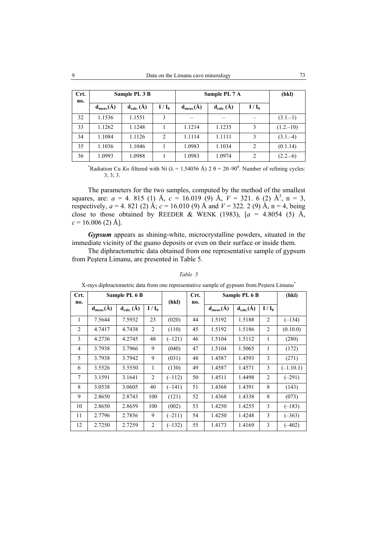| Crt.<br>no. |                | Sample PL 3 B    |                | Sample PL 7 A    |                  | (hkl)   |             |
|-------------|----------------|------------------|----------------|------------------|------------------|---------|-------------|
|             | $d_{meas.}(A)$ | $d_{calc.}(\AA)$ | $I/I_0$        | $d_{meas.}(\AA)$ | $d_{calc.}(\AA)$ | $I/I_0$ |             |
| 32          | 1.1536         | 1.1551           | 3              |                  |                  |         | $(3.1,-1)$  |
| 33          | 1.1262         | 1.1248           |                | 1.1214           | 1.1235           | 3       | $(1.2,-10)$ |
| 34          | 1.1084         | 1.1126           | $\overline{2}$ | 1.1114           | 1.1111           | 3       | $(3.1,-4)$  |
| 35          | 1.1036         | 1.1046           |                | 1.0983           | 1.1034           | 2       | (0.1.14)    |
| 36          | 1.0993         | 1.0988           |                | 1.0983           | 1.0974           | 2       | $(2.2,-6)$  |

\*Radiation Cu *Ka* filtered with Ni ( $\lambda$  = 1.54056 Å) 2  $\theta$  = 20–90<sup>0</sup>. Number of refining cycles: 3; 3; 3.

The parameters for the two samples, computed by the method of the smallest squares, are:  $a = 4$ . 815 (1) Å,  $c = 16.019$  (9) Å,  $V = 321$ . 6 (2) Å<sup>3</sup>, n = 3, respectively,  $a = 4$ . 821 (2) Å;  $c = 16.010$  (9) Å and  $V = 322$ . 2 (9) Å,  $n = 4$ , being close to those obtained by REEDER & WENK (1983),  $[a = 4.8054 (5)$  Å,  $c = 16.006$  (2) Å].

*Gypsum* appears as shining-white, microcrystalline powders, situated in the immediate vicinity of the guano deposits or even on their surface or inside them.

The diphractometric data obtained from one representative sample of gypsum from Peştera Limanu, are presented in Table 5.

|                | $\Lambda$ -rays dipinacioniente data from one representative sample or gypsum from Festera Limanu |                  |                |          |      |                  |                  |                |             |
|----------------|---------------------------------------------------------------------------------------------------|------------------|----------------|----------|------|------------------|------------------|----------------|-------------|
| Crt.           |                                                                                                   | Sample PL 6 B    |                |          | Crt. |                  | Sample PL 6 B    |                | (hkl)       |
| no.            |                                                                                                   |                  |                | (hkl)    | no.  |                  |                  |                |             |
|                | $d_{meas.}(\AA)$                                                                                  | $d_{calc.}(\AA)$ | $I/I_0$        |          |      | $d_{meas.}(\AA)$ | $d_{calc.}(\AA)$ | $I/I_0$        |             |
| 1              | 7.5644                                                                                            | 7.5932           | 23             | (020)    | 44   | 1.5192           | 1.5188           | 2              | $(-134)$    |
| 2              | 4.7417                                                                                            | 4.7438           | 2              | (110)    | 45   | 1.5192           | 1.5186           | 2              | (0.10.0)    |
| 3              | 4.2736                                                                                            | 4.2745           | 48             | $(-121)$ | 46   | 1.5104           | 1.5112           | 1              | (280)       |
| $\overline{4}$ | 3.7938                                                                                            | 3.7966           | 9              | (040)    | 47   | 1.5104           | 1.5065           | 1              | (172)       |
| 5              | 3.7938                                                                                            | 3.7942           | 9              | (031)    | 48   | 1.4587           | 1.4593           | 3              | (271)       |
| 6              | 3.5526                                                                                            | 3.5550           | 1              | (130)    | 49   | 1.4587           | 1.4571           | 3              | $(-1.10.1)$ |
| 7              | 3.1591                                                                                            | 3.1641           | 2              | $(-112)$ | 50   | 1.4511           | 1.4498           | 2              | $(-291)$    |
| 8              | 3.0538                                                                                            | 3.0605           | 40             | $(-141)$ | 51   | 1.4368           | 1.4391           | 8              | (143)       |
| 9              | 2.8650                                                                                            | 2.8743           | 100            | (121)    | 52   | 1.4368           | 1.4338           | 8              | (073)       |
| 10             | 2.8650                                                                                            | 2.8659           | 100            | (002)    | 53   | 1.4250           | 1.4255           | 3              | $(-183)$    |
| 11             | 2.7796                                                                                            | 2.7856           | 9              | $(-211)$ | 54   | 1.4250           | 1.4248           | $\overline{3}$ | $(-363)$    |
| 12             | 2.7250                                                                                            | 2.7259           | $\overline{2}$ | $(-132)$ | 55   | 1.4173           | 1.4169           | $\overline{3}$ | $(-402)$    |

| X-rays diphractometric data from one representative sample of gypsum from Pestera Limanu <sup>®</sup> |  |  |  |  |
|-------------------------------------------------------------------------------------------------------|--|--|--|--|
|                                                                                                       |  |  |  |  |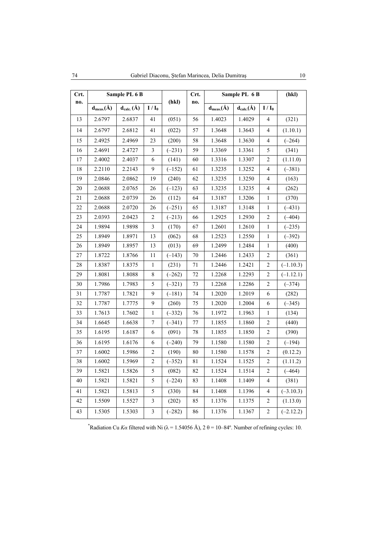| Crt.   | Sample PL 6 B    |                  |                  | (hkl)    | Crt. | Sample PL 6 B                           | (hkl)            |                          |             |
|--------|------------------|------------------|------------------|----------|------|-----------------------------------------|------------------|--------------------------|-------------|
| no.    | $d_{meas.}(\AA)$ | $d_{calc.}(\AA)$ | $I/I_0$          |          | no.  | $\mathbf{d}_{\text{meas.}}(\text{\AA})$ | $d_{calc.}(\AA)$ | $I/I_0$                  |             |
| 13     | 2.6797           | 2.6837           | 41               | (051)    | 56   | 1.4023                                  | 1.4029           | $\overline{4}$           | (321)       |
| 14     | 2.6797           | 2.6812           | 41               | (022)    | 57   | 1.3648                                  | 1.3643           | $\overline{4}$           | (1.10.1)    |
| 15     | 2.4925           | 2.4969           | 23               | (200)    | 58   | 1.3648                                  | 1.3630           | 4                        | $(-264)$    |
| 16     | 2.4691           | 2.4727           | $\mathfrak{Z}$   | $(-231)$ | 59   | 1.3369                                  | 1.3361           | 5                        | (341)       |
| 17     | 2.4002           | 2.4037           | 6                | (141)    | 60   | 1.3316                                  | 1.3307           | $\overline{\mathbf{c}}$  | (1.11.0)    |
| 18     | 2.2110           | 2.2143           | 9                | $(-152)$ | 61   | 1.3235                                  | 1.3252           | $\overline{\mathcal{A}}$ | $(-381)$    |
| 19     | 2.0846           | 2.0862           | 19               | (240)    | 62   | 1.3235                                  | 1.3250           | $\overline{\mathcal{A}}$ | (163)       |
| 20     | 2.0688           | 2.0765           | 26               | $(-123)$ | 63   | 1.3235                                  | 1.3235           | $\overline{\mathcal{A}}$ | (262)       |
| 21     | 2.0688           | 2.0739           | 26               | (112)    | 64   | 1.3187                                  | 1.3206           | $\mathbf{1}$             | (370)       |
| $22\,$ | 2.0688           | 2.0720           | 26               | $(-251)$ | 65   | 1.3187                                  | 1.3148           | $\,1$                    | $(-431)$    |
| 23     | 2.0393           | 2.0423           | $\overline{c}$   | $(-213)$ | 66   | 1.2925                                  | 1.2930           | $\overline{c}$           | $(-404)$    |
| 24     | 1.9894           | 1.9898           | $\mathfrak{Z}$   | (170)    | 67   | 1.2601                                  | 1.2610           | $\,1$                    | $(-235)$    |
| 25     | 1.8949           | 1.8971           | 13               | (062)    | 68   | 1.2523                                  | 1.2550           | $\mathbf{1}$             | $(-392)$    |
| 26     | 1.8949           | 1.8957           | 13               | (013)    | 69   | 1.2499                                  | 1.2484           | $\mathbf{1}$             | (400)       |
| 27     | 1.8722           | 1.8766           | 11               | $(-143)$ | 70   | 1.2446                                  | 1.2433           | $\overline{c}$           | (361)       |
| 28     | 1.8387           | 1.8375           | 1                | (231)    | 71   | 1.2446                                  | 1.2421           | $\overline{c}$           | $(-1.10.3)$ |
| 29     | 1.8081           | 1.8088           | 8                | $(-262)$ | 72   | 1.2268                                  | 1.2293           | $\overline{c}$           | $(-1.12.1)$ |
| 30     | 1.7986           | 1.7983           | 5                | $(-321)$ | 73   | 1.2268                                  | 1.2286           | $\boldsymbol{2}$         | $(-374)$    |
| 31     | 1.7787           | 1.7821           | 9                | $(-181)$ | 74   | 1.2020                                  | 1.2019           | 6                        | (282)       |
| 32     | 1.7787           | 1.7775           | 9                | (260)    | 75   | 1.2020                                  | 1.2004           | $\epsilon$               | $(-345)$    |
| 33     | 1.7613           | 1.7602           | $\mathbf{1}$     | $(-332)$ | 76   | 1.1972                                  | 1.1963           | $\mathbf{1}$             | (134)       |
| 34     | 1.6645           | 1.6638           | $\tau$           | $(-341)$ | 77   | 1.1855                                  | 1.1860           | $\overline{c}$           | (440)       |
| 35     | 1.6195           | 1.6187           | $\sqrt{6}$       | (091)    | 78   | 1.1855                                  | 1.1850           | $\overline{c}$           | (390)       |
| 36     | 1.6195           | 1.6176           | 6                | $(-240)$ | 79   | 1.1580                                  | 1.1580           | $\overline{c}$           | $(-194)$    |
| 37     | 1.6002           | 1.5986           | $\boldsymbol{2}$ | (190)    | 80   | 1.1580                                  | 1.1578           | $\overline{c}$           | (0.12.2)    |
| 38     | 1.6002           | 1.5969           | $\overline{c}$   | $(-352)$ | 81   | 1.1524                                  | 1.1525           | $\overline{c}$           | (1.11.2)    |
| 39     | 1.5821           | 1.5826           | 5                | (082)    | 82   | 1.1524                                  | 1.1514           | $\sqrt{2}$               | $(-464)$    |
| 40     | 1.5821           | 1.5821           | 5                | $(-224)$ | 83   | 1.1408                                  | 1.1409           | 4                        | (381)       |
| 41     | 1.5821           | 1.5813           | 5                | (330)    | 84   | 1.1408                                  | 1.1396           | 4                        | $(-3.10.3)$ |
| 42     | 1.5509           | 1.5527           | 3                | (202)    | 85   | 1.1376                                  | 1.1375           | 2                        | (1.13.0)    |
| 43     | 1.5305           | 1.5303           | $\mathfrak{Z}$   | $(-282)$ | 86   | 1.1376                                  | 1.1367           | $\overline{c}$           | $(-2.12.2)$ |

\*Radiation Cu *Ka* filtered with Ni ( $\lambda = 1.54056$  Å),  $2 \theta = 10-84^\circ$ . Number of refining cycles: 10.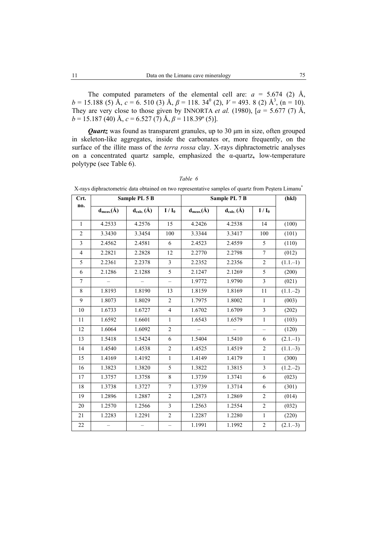The computed parameters of the elemental cell are:  $a = 5.674$  (2) Å,  $b = 15.188$  (5)  $\AA$ ,  $c = 6.510$  (3)  $\AA$ ,  $\beta = 118.34^{\circ}$  (2),  $V = 493.8$  (2)  $\AA$ <sup>3</sup>, (n = 10). They are very close to those given by INNORTA *et al.* (1980),  $[a = 5.677 (7)$  Å, *b* = 15.187 (40) Å, *c* = 6.527 (7) Å, *β* = 118.39º (5)].

*Quartz* was found as transparent granules, up to 30  $\mu$ m in size, often grouped in skeleton-like aggregates, inside the carbonates or, more frequently, on the surface of the illite mass of the *terra rossa* clay. X-rays diphractometric analyses on a concentrated quartz sample, emphasized the α-quartz**,** low-temperature polytype (see Table 6).

|                | A-lays ulphiactometric uata obtained on two representative samples of quartz from Festera Emilanti |                  |                          |                  |                          |                          |             |
|----------------|----------------------------------------------------------------------------------------------------|------------------|--------------------------|------------------|--------------------------|--------------------------|-------------|
| Crt.<br>no.    |                                                                                                    | Sample PL 5 B    |                          | Sample PL 7 B    | (hkl)                    |                          |             |
|                | $d_{meas.}(\AA)$                                                                                   | $d_{calc.}(\AA)$ | $I/I_0$                  | $d_{meas.}(\AA)$ | $d_{calc.}(\AA)$         | $I/I_0$                  |             |
| $\mathbf{1}$   | 4.2533                                                                                             | 4.2576           | 15                       | 4.2426           | 4.2538                   | 14                       | (100)       |
| $\overline{2}$ | 3.3430                                                                                             | 3.3454           | 100                      | 3.3344           | 3.3417                   | 100                      | (101)       |
| $\overline{3}$ | 2.4562                                                                                             | 2.4581           | 6                        | 2.4523           | 2.4559                   | 5                        | (110)       |
| $\overline{4}$ | 2.2821                                                                                             | 2.2828           | 12                       | 2.2770           | 2.2798                   | $\tau$                   | (012)       |
| $\overline{5}$ | 2.2361                                                                                             | 2.2378           | $\overline{3}$           | 2.2352           | 2.2356                   | $\overline{c}$           | $(1.1,-1)$  |
| 6              | 2.1286                                                                                             | 2.1288           | 5                        | 2.1247           | 2.1269                   | 5                        | (200)       |
| $\overline{7}$ |                                                                                                    |                  | $\overline{\phantom{0}}$ | 1.9772           | 1.9790                   | $\overline{\mathbf{3}}$  | (021)       |
| 8              | 1.8193                                                                                             | 1.8190           | 13                       | 1.8159           | 1.8169                   | 11                       | $(1.1,-2)$  |
| 9              | 1.8073                                                                                             | 1.8029           | $\overline{2}$           | 1.7975           | 1.8002                   | $\mathbf{1}$             | (003)       |
| $10\,$         | 1.6733                                                                                             | 1.6727           | $\overline{4}$           | 1.6702           | 1.6709                   | $\overline{\mathbf{3}}$  | (202)       |
| 11             | 1.6592                                                                                             | 1.6601           | $\mathbf{1}$             | 1.6543           | 1.6579                   | $\mathbf{1}$             | (103)       |
| 12             | 1.6064                                                                                             | 1.6092           | $\overline{c}$           |                  | $\overline{\phantom{0}}$ | $\overline{\phantom{0}}$ | (120)       |
| 13             | 1.5418                                                                                             | 1.5424           | 6                        | 1.5404           | 1.5410                   | 6                        | $(2.1,-1)$  |
| 14             | 1.4540                                                                                             | 1.4538           | $\overline{c}$           | 1.4525           | 1.4519                   | $\overline{c}$           | $(1.1 - 3)$ |
| 15             | 1.4169                                                                                             | 1.4192           | $\mathbf{1}$             | 1.4149           | 1.4179                   | $\,1$                    | (300)       |
| 16             | 1.3823                                                                                             | 1.3820           | 5                        | 1.3822           | 1.3815                   | $\overline{\mathbf{3}}$  | $(1.2,-2)$  |
| 17             | 1.3757                                                                                             | 1.3758           | 8                        | 1.3739           | 1.3741                   | 6                        | (023)       |
| 18             | 1.3738                                                                                             | 1.3727           | $\overline{7}$           | 1.3739           | 1.3714                   | 6                        | (301)       |
| 19             | 1.2896                                                                                             | 1.2887           | $\overline{c}$           | 1,2873           | 1.2869                   | $\sqrt{2}$               | (014)       |
| 20             | 1.2570                                                                                             | 1.2566           | 3                        | 1.2563           | 1.2554                   | $\overline{2}$           | (032)       |
| 21             | 1.2283                                                                                             | 1.2291           | $\overline{2}$           | 1.2287           | 1.2280                   | $\,1$                    | (220)       |
| 22             |                                                                                                    |                  | $\overline{\phantom{0}}$ | 1.1991           | 1.1992                   | $\sqrt{2}$               | $(2.1 - 3)$ |

*Table 6*   $X$ -rays diphractometric data obtained on two representative samples of quartz from Pestera Limanu $^{\dagger}$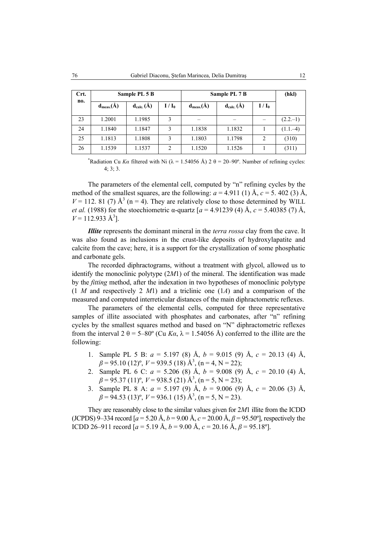| Crt. |                | Sample PL 5 B  |         | Sample PL 7 B        | (hkl)          |         |            |
|------|----------------|----------------|---------|----------------------|----------------|---------|------------|
| no.  | $d_{meas.}(A)$ | $d_{calc.}(A)$ | $I/I_0$ | $d_{\text{meas}}(A)$ | $d_{calc.}(A)$ | $I/I_0$ |            |
| 23   | 1.2001         | 1.1985         | 3       |                      |                |         | $(2.2,-1)$ |
| 24   | 1.1840         | 1.1847         | 3       | 1.1838               | 1.1832         |         | $(1.1,-4)$ |
| 25   | 1.1813         | 1.1808         | 3       | 1.1803               | 1.1798         | 2       | (310)      |
| 26   | 1.1539         | 1.1537         | 2       | 1.1520               | 1.1526         |         | (311)      |

<sup>\*</sup>Radiation Cu *Ka* filtered with Ni ( $\lambda$  = 1.54056 Å) 2  $\theta$  = 20–90°. Number of refining cycles: 4; 3; 3.

The parameters of the elemental cell, computed by "n" refining cycles by the method of the smallest squares, are the following:  $a = 4.911$  (1)  $\text{\AA}$ ,  $c = 5.402$  (3)  $\text{\AA}$ ,  $V = 112$ . 81 (7)  $\mathring{A}^3$  (n = 4). They are relatively close to those determined by WILL *et al.* (1988) for the stoechiometric  $\alpha$ -quartz  $[a = 4.91239 (4)$  Å,  $c = 5.40385 (7)$  Å,  $V = 112.933 \text{ Å}^3$ .

*Illite* represents the dominant mineral in the *terra rossa* clay from the cave. It was also found as inclusions in the crust-like deposits of hydroxylapatite and calcite from the cave; here, it is a support for the crystallization of some phosphatic and carbonate gels.

The recorded diphractograms, without a treatment with glycol, allowed us to identify the monoclinic polytype (2*M*1) of the mineral. The identification was made by the *fitting* method, after the indexation in two hypotheses of monoclinic polytype (1 *M* and respectively 2 *M*1) and a triclinic one (1*A*) and a comparison of the measured and computed interreticular distances of the main diphractometric reflexes.

The parameters of the elemental cells, computed for three representative samples of illite associated with phosphates and carbonates, after "n" refining cycles by the smallest squares method and based on "N" diphractometric reflexes from the interval  $2 \theta = 5-80^{\circ}$  (Cu  $K\alpha$ ,  $\lambda = 1.54056$  Å) conferred to the illite are the following:

- 1. Sample PL 5 B: *a* = 5.197 (8) Å, *b* = 9.015 (9) Å, *c* = 20.13 (4) Å,  $\beta$  = 95.10 (12)<sup>o</sup>, *V* = 939.5 (18) Å<sup>3</sup>, (n = 4, N = 22);
- 2. Sample PL 6 C: *a* = 5.206 (8) Å, *b* = 9.008 (9) Å, *c* = 20.10 (4) Å,  $\beta$  = 95.37 (11)<sup>o</sup>, *V* = 938.5 (21) Å<sup>3</sup>, (n = 5, N = 23);
- 3. Sample PL 8 A: *a* = 5.197 (9) Å, *b* = 9.006 (9) Å, *c* = 20.06 (3) Å,  $\beta$  = 94.53 (13)<sup>o</sup>, *V* = 936.1 (15) Å<sup>3</sup>, (n = 5, N = 23).

They are reasonably close to the similar values given for 2*M*1 illite from the ICDD (JCPDS) 9–334 record  $[a = 5.20 \text{ Å}, b = 9.00 \text{ Å}, c = 20.00 \text{ Å}, \beta = 95.50^{\circ}]$ , respectively the ICDD 26–911 record  $[a = 5.19 \text{ Å}, b = 9.00 \text{ Å}, c = 20.16 \text{ Å}, \beta = 95.18^{\circ}]$ .